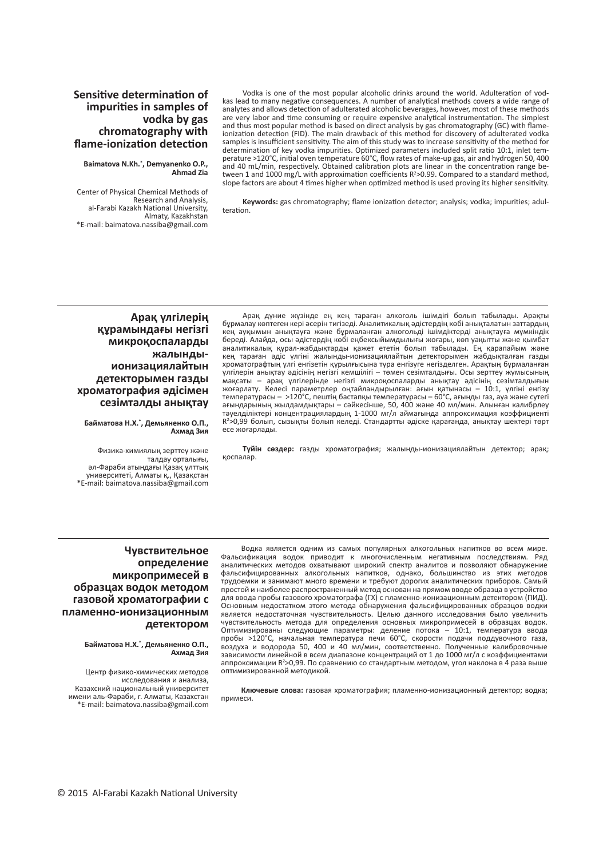## **Sensitive determination of impurities in samples of vodka by gas chromatography with flame-ionization detection**

**Baimatova N.Kh.\* , Demyanenko O.P., Ahmad Zia**

Center of Physical Chemical Methods of Research and Analysis, al-Farabi Kazakh National University, Almaty, Kazakhstan \*E-mail: baimatova.nassiba@gmail.com

Vodka is one of the most popular alcoholic drinks around the world. Adulteration of vodkas lead to many negative consequences. A number of analytical methods covers a wide range of analytes and allows detection of adulterated alcoholic beverages, however, most of these methods are very labor and time consuming or require expensive analytical instrumentation. The simplest and thus most popular method is based on direct analysis by gas chromatography (GC) with flameionization detection (FID). The main drawback of this method for discovery of adulterated vodka samples is insufficient sensitivity. The aim of this study was to increase sensitivity of the method for determination of key vodka impurities. Optimized parameters included split ratio 10:1, inlet temperature >120°C, initial oven temperature 60°C, flow rates of make-up gas, air and hydrogen 50, 400 and 40 mL/min, respectively. Obtained calibration plots are linear in the concentration range between 1 and 1000 mg/L with approximation coefficients R<sup>2</sup>>0.99. Compared to a standard method, slope factors are about 4 times higher when optimized method is used proving its higher sensitivity.

**Keywords:** gas chromatography; flame ionization detector; analysis; vodka; impurities; adulteration.

#### **Арақ үлгілерің құрамындағы негізгі микроқоспаларды жалындыионизациялайтын детекторымен газды хроматография әдісімен сезімталды анықтау**

**Байматова Н.Х.\* , Демьяненко О.П., Ахмад Зия**

Физика-химиялық зерттеу және талдау орталығы, әл-Фараби атындағы Қазақ ұлттық университеті, Алматы қ., Қазақстан \*E-mail: baimatova.nassiba@gmail.com

Арақ дүние жүзінде ең кең тараған алкоголь ішімдігі болып табылады. Арақты бұрмалау көптеген кері әсерін тигізеді. Аналитикалық әдістердің көбі анықталатын заттардың кең ауқымын анықтауға және бұрмаланған алкогольді ішімдіктерді анықтауға мүмкіндік береді. Алайда, осы әдістердің көбі еңбексыйымдылығы жоғары, көп уақытты және қымбат аналитикалық құрал-жабдықтарды қажет ететін болып табылады. Ең қарапайым және кең тараған әдіс үлгіні жалынды-ионизациялайтын детекторымен жабдықталған газды хроматографтың үлгі енгізетін құрылғысына тура енгізуге негізделген. Арақтың бұрмаланған үлгілерін анықтау әдісінің негізгі кемшілігі – төмен сезімталдығы. Осы зерттеу жұмысының мақсаты – арақ үлгілерінде негізгі микроқоспаларды анықтау әдісінің сезімталдығын жоғарлату. Келесі параметрлер оңтайландырылған: ағын қатынасы – 10:1, үлгіні енгізу температурасы – >120°C, пештің бастапқы температурасы – 60°C, ағынды газ, ауа және сутегі ағындарының жылдамдықтары – сәйкесінше, 50, 400 және 40 мл/мин. Алынған калибрлеу тәуелділіктері концентрациялардың 1-1000 мг/л аймағында аппроксимация коэффициенті R<sup>2</sup>>0,99 болып, сызықты болып келеді. Стандартты әдіске қарағанда, анықтау шектері төрт есе жоғарлады.

**Түйін сөздер:** газды хроматография; жалынды-ионизациялайтын детектор; арақ; қоспалар.

#### **Чувствительное определение микропримесей в образцах водок методом газовой хроматографии с пламенно-ионизационным детектором**

#### **Байматова Н.Х.\* , Демьяненко О.П., Ахмад Зия**

Центр физико-химических методов исследования и анализа, Казахский национальный университет имени аль-Фараби, г. Алматы, Казахстан \*E-mail: baimatova.nassiba@gmail.com

Водка является одним из самых популярных алкогольных напитков во всем мире. Фальсификация водок приводит к многочисленным негативным последствиям. Ряд аналитических методов охватывают широкий спектр аналитов и позволяют обнаружение фальсифицированных алкогольных напитков, однако, большинство из этих методов трудоемки и занимают много времени и требуют дорогих аналитических приборов. Самый простой и наиболее распространенный метод основан на прямом вводе образца в устройство для ввода пробы газового хроматографа (ГХ) с пламенно-ионизационным детектором (ПИД). Основным недостатком этого метода обнаружения фальсифицированных образцов водки является недостаточная чувствительность. Целью данного исследования было увеличить чувствительность метода для определения основных микропримесей в образцах водок. Оптимизированы следующие параметры: деление потока – 10:1, температура ввода пробы >120°C, начальная температура печи 60°C, скорости подачи поддувочного газа, воздуха и водорода 50, 400 и 40 мл/мин, соответственно. Полученные калибровочные зависимости линейной в всем диапазоне концентраций от 1 до 1000 мг/л с коэффициентами аппроксимации R<sup>2</sup>>0,99. По сравнению со стандартным методом, угол наклона в 4 раза выше оптимизированной методикой.

**Ключевые слова:** газовая хроматография; пламенно-ионизационный детектор; водка; примеси.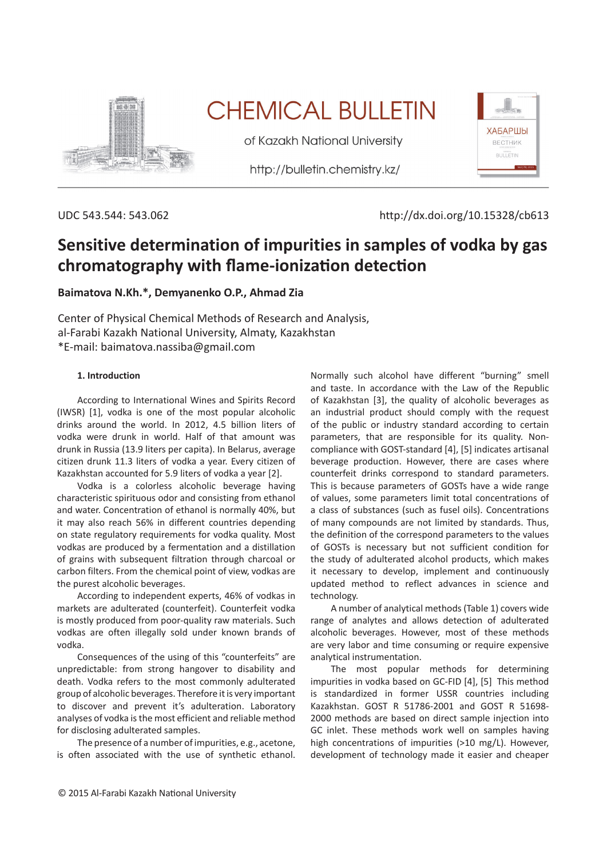

# **CHEMICAL BULLETIN**

of Kazakh National University

http://bulletin.chemistry.kz/



UDC 543.544: 543.062 http://dx.doi.org/10.15328/cb613

# **Sensitive determination of impurities in samples of vodka by gas chromatography with flame-ionization detection**

# **Baimatova N.Kh.\*, Demyanenko O.P., Ahmad Zia**

Center of Physical Chemical Methods of Research and Analysis, al-Farabi Kazakh National University, Almaty, Kazakhstan \*E-mail: baimatova.nassiba@gmail.com

#### **1. Introduction**

According to International Wines and Spirits Record (IWSR) [1], vodka is one of the most popular alcoholic drinks around the world. In 2012, 4.5 billion liters of vodka were drunk in world. Half of that amount was drunk in Russia (13.9 liters per capita). In Belarus, average citizen drunk 11.3 liters of vodka a year. Every citizen of Kazakhstan accounted for 5.9 liters of vodka a year [2].

Vodka is a colorless alcoholic beverage having characteristic spirituous odor and consisting from ethanol and water. Concentration of ethanol is normally 40%, but it may also reach 56% in different countries depending on state regulatory requirements for vodka quality. Most vodkas are produced by a fermentation and a distillation of grains with subsequent filtration through charcoal or carbon filters. From the chemical point of view, vodkas are the purest alcoholic beverages.

According to independent experts, 46% of vodkas in markets are adulterated (counterfeit). Counterfeit vodka is mostly produced from poor-quality raw materials. Such vodkas are often illegally sold under known brands of vodka.

Consequences of the using of this "counterfeits" are unpredictable: from strong hangover to disability and death. Vodka refers to the most commonly adulterated group of alcoholic beverages. Therefore it is very important to discover and prevent it's adulteration. Laboratory analyses of vodka is the most efficient and reliable method for disclosing adulterated samples.

The presence of a number of impurities, e.g., acetone, is often associated with the use of synthetic ethanol.

Normally such alcohol have different "burning" smell and taste. In accordance with the Law of the Republic of Kazakhstan [3], the quality of alcoholic beverages as an industrial product should comply with the request of the public or industry standard according to certain parameters, that are responsible for its quality. Noncompliance with GOST-standard [4], [5] indicates artisanal beverage production. However, there are cases where counterfeit drinks correspond to standard parameters. This is because parameters of GOSTs have a wide range of values, some parameters limit total concentrations of a class of substances (such as fusel oils). Concentrations of many compounds are not limited by standards. Thus, the definition of the correspond parameters to the values of GOSTs is necessary but not sufficient condition for the study of adulterated alcohol products, which makes it necessary to develop, implement and continuously updated method to reflect advances in science and technology.

A number of analytical methods (Table 1) covers wide range of analytes and allows detection of adulterated alcoholic beverages. However, most of these methods are very labor and time consuming or require expensive analytical instrumentation.

The most popular methods for determining impurities in vodka based on GC-FID [4], [5] This method is standardized in former USSR countries including Kazakhstan. GOST R 51786-2001 and GOST R 51698- 2000 methods are based on direct sample injection into GC inlet. These methods work well on samples having high concentrations of impurities (>10 mg/L). However, development of technology made it easier and cheaper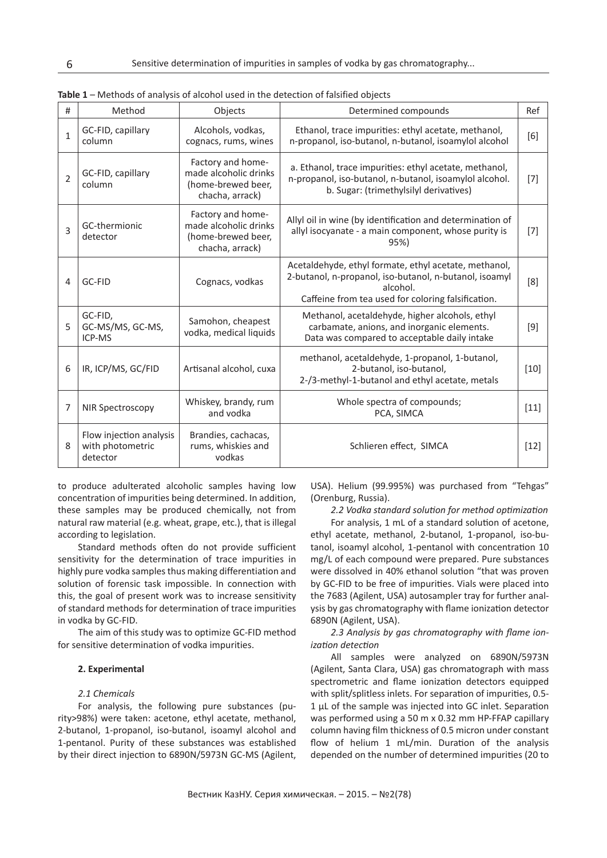| #              | Method                                                  | Objects                                                                             | Determined compounds                                                                                                                                                              | Ref    |
|----------------|---------------------------------------------------------|-------------------------------------------------------------------------------------|-----------------------------------------------------------------------------------------------------------------------------------------------------------------------------------|--------|
| $\mathbf{1}$   | GC-FID, capillary<br>column                             | Alcohols, vodkas,<br>cognacs, rums, wines                                           | Ethanol, trace impurities: ethyl acetate, methanol,<br>n-propanol, iso-butanol, n-butanol, isoamylol alcohol                                                                      | [6]    |
| $\overline{2}$ | GC-FID, capillary<br>column                             | Factory and home-<br>made alcoholic drinks<br>(home-brewed beer,<br>chacha, arrack) | a. Ethanol, trace impurities: ethyl acetate, methanol,<br>n-propanol, iso-butanol, n-butanol, isoamylol alcohol.<br>b. Sugar: (trimethylsilyl derivatives)                        | $[7]$  |
| 3              | GC-thermionic<br>detector                               | Factory and home-<br>made alcoholic drinks<br>(home-brewed beer,<br>chacha, arrack) | Allyl oil in wine (by identification and determination of<br>allyl isocyanate - a main component, whose purity is<br>95%)                                                         | $[7]$  |
| 4              | GC-FID                                                  | Cognacs, vodkas                                                                     | Acetaldehyde, ethyl formate, ethyl acetate, methanol,<br>2-butanol, n-propanol, iso-butanol, n-butanol, isoamyl<br>alcohol.<br>Caffeine from tea used for coloring falsification. | [8]    |
| 5              | GC-FID,<br>GC-MS/MS, GC-MS,<br>ICP-MS                   | Samohon, cheapest<br>vodka, medical liquids                                         | Methanol, acetaldehyde, higher alcohols, ethyl<br>carbamate, anions, and inorganic elements.<br>Data was compared to acceptable daily intake                                      | $[9]$  |
| 6              | IR, ICP/MS, GC/FID                                      | Artisanal alcohol, cuxa                                                             | methanol, acetaldehyde, 1-propanol, 1-butanol,<br>2-butanol, iso-butanol,<br>2-/3-methyl-1-butanol and ethyl acetate, metals                                                      | $[10]$ |
| 7              | NIR Spectroscopy                                        | Whiskey, brandy, rum<br>and vodka                                                   | Whole spectra of compounds;<br>PCA, SIMCA                                                                                                                                         | $[11]$ |
| 8              | Flow injection analysis<br>with photometric<br>detector | Brandies, cachacas,<br>rums, whiskies and<br>vodkas                                 | Schlieren effect, SIMCA                                                                                                                                                           | $[12]$ |

**Table 1** – Methods of analysis of alcohol used in the detection of falsified objects

to produce adulterated alcoholic samples having low concentration of impurities being determined. In addition, these samples may be produced chemically, not from natural raw material (e.g. wheat, grape, etc.), that is illegal according to legislation.

Standard methods often do not provide sufficient sensitivity for the determination of trace impurities in highly pure vodka samples thus making differentiation and solution of forensic task impossible. In connection with this, the goal of present work was to increase sensitivity of standard methods for determination of trace impurities in vodka by GC-FID.

The aim of this study was to optimize GC-FID method for sensitive determination of vodka impurities.

#### **2. Experimental**

#### *2.1 Chemicals*

For analysis, the following pure substances (purity>98%) were taken: acetone, ethyl acetate, methanol, 2-butanol, 1-propanol, iso-butanol, isoamyl alcohol and 1-pentanol. Purity of these substances was established by their direct injection to 6890N/5973N GC-MS (Agilent,

USA). Helium (99.995%) was purchased from "Tehgas" (Orenburg, Russia).

*2.2 Vodka standard solution for method optimization*

For analysis, 1 mL of a standard solution of acetone, ethyl acetate, methanol, 2-butanol, 1-propanol, iso-butanol, isoamyl alcohol, 1-pentanol with concentration 10 mg/L of each compound were prepared. Pure substances were dissolved in 40% ethanol solution "that was proven by GC-FID to be free of impurities. Vials were placed into the 7683 (Agilent, USA) autosampler tray for further analysis by gas chromatography with flame ionization detector 6890N (Agilent, USA).

*2.3 Analysis by gas chromatography with flame ionization detection*

All samples were analyzed on 6890N/5973N (Agilent, Santa Clara, USA) gas chromatograph with mass spectrometric and flame ionization detectors equipped with split/splitless inlets. For separation of impurities, 0.5- 1 µL of the sample was injected into GC inlet. Separation was performed using a 50 m x 0.32 mm HP-FFAP capillary column having film thickness of 0.5 micron under constant flow of helium 1 mL/min. Duration of the analysis depended on the number of determined impurities (20 to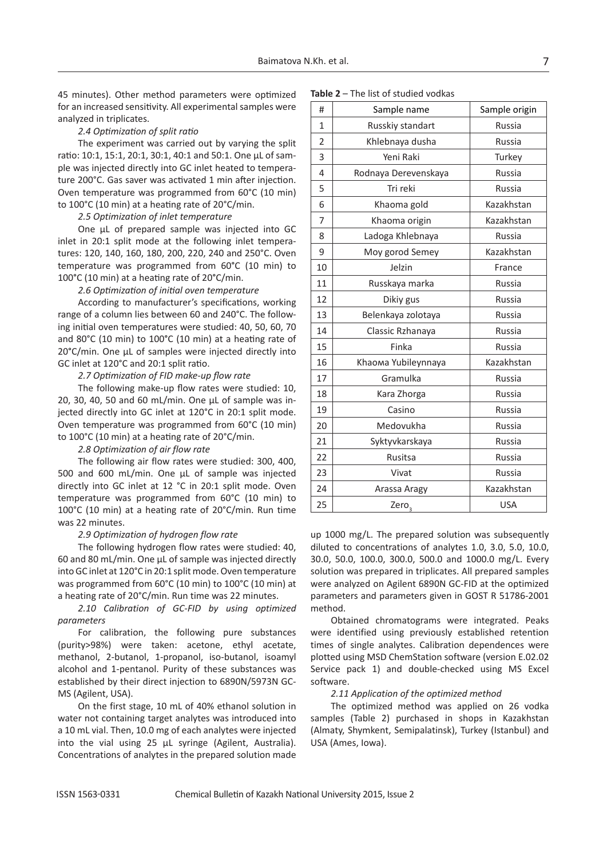45 minutes). Other method parameters were optimized for an increased sensitivity. All experimental samples were analyzed in triplicates.

#### *2.4 Optimization of split ratio*

The experiment was carried out by varying the split ratio: 10:1, 15:1, 20:1, 30:1, 40:1 and 50:1. One µL of sample was injected directly into GC inlet heated to temperature 200°C. Gas saver was activated 1 min after injection. Oven temperature was programmed from 60°C (10 min) to 100°C (10 min) at a heating rate of 20°C/min.

#### *2.5 Optimization of inlet temperature*

One µL of prepared sample was injected into GC inlet in 20:1 split mode at the following inlet temperatures: 120, 140, 160, 180, 200, 220, 240 and 250°C. Oven temperature was programmed from 60°C (10 min) to 100°C (10 min) at a heating rate of 20°C/min.

#### *2.6 Optimization of initial oven temperature*

According to manufacturer's specifications, working range of a column lies between 60 and 240°C. The following initial oven temperatures were studied: 40, 50, 60, 70 and 80°C (10 min) to 100°C (10 min) at a heating rate of 20°C/min. One µL of samples were injected directly into GC inlet at 120°C and 20:1 split ratio.

#### *2.7 Optimization of FID make-up flow rate*

The following make-up flow rates were studied: 10, 20, 30, 40, 50 and 60 mL/min. One µL of sample was injected directly into GC inlet at 120°C in 20:1 split mode. Oven temperature was programmed from 60°C (10 min) to 100°C (10 min) at a heating rate of 20°C/min.

#### *2.8 Optimization of air flow rate*

The following air flow rates were studied: 300, 400, 500 and 600 mL/min. One µL of sample was injected directly into GC inlet at 12 °C in 20:1 split mode. Oven temperature was programmed from 60°C (10 min) to 100°C (10 min) at a heating rate of 20°C/min. Run time was 22 minutes.

#### *2.9 Optimization of hydrogen flow rate*

The following hydrogen flow rates were studied: 40, 60 and 80 mL/min. One µL of sample was injected directly into GC inlet at 120°C in 20:1 split mode. Oven temperature was programmed from 60°C (10 min) to 100°C (10 min) at a heating rate of 20°C/min. Run time was 22 minutes.

#### *2.10 Calibration of GC-FID by using optimized parameters*

For calibration, the following pure substances (purity>98%) were taken: acetone, ethyl acetate, methanol, 2-butanol, 1-propanol, iso-butanol, isoamyl alcohol and 1-pentanol. Purity of these substances was established by their direct injection to 6890N/5973N GC-MS (Agilent, USA).

On the first stage, 10 mL of 40% ethanol solution in water not containing target analytes was introduced into a 10 mL vial. Then, 10.0 mg of each analytes were injected into the vial using 25 µL syringe (Agilent, Australia). Concentrations of analytes in the prepared solution made

| <b>Table 2 - The list of studied vodkas</b> |
|---------------------------------------------|
|---------------------------------------------|

| #              | Sample name          | Sample origin |
|----------------|----------------------|---------------|
| 1              | Russkiy standart     | Russia        |
| $\overline{2}$ | Khlebnaya dusha      | <b>Russia</b> |
| 3              | Yeni Raki            | Turkey        |
| 4              | Rodnaya Derevenskaya | Russia        |
| 5              | Tri reki             | <b>Russia</b> |
| 6              | Khaoma gold          | Kazakhstan    |
| 7              | Khaoma origin        | Kazakhstan    |
| 8              | Ladoga Khlebnaya     | Russia        |
| 9              | Moy gorod Semey      | Kazakhstan    |
| 10             | Jelzin               | France        |
| 11             | Russkaya marka       | Russia        |
| 12             | Dikiy gus            | Russia        |
| 13             | Belenkaya zolotaya   | <b>Russia</b> |
| 14             | Classic Rzhanaya     | <b>Russia</b> |
| 15             | Finka                | Russia        |
| 16             | Khaoma Yubileynnaya  | Kazakhstan    |
| 17             | Gramulka             | <b>Russia</b> |
| 18             | Kara Zhorga          | <b>Russia</b> |
| 19             | Casino               | Russia        |
| 20             | Medovukha            | <b>Russia</b> |
| 21             | Syktyvkarskaya       | <b>Russia</b> |
| 22             | Rusitsa              | <b>Russia</b> |
| 23             | Vivat                | Russia        |
| 24             | Arassa Aragy         | Kazakhstan    |
| 25             | Zero <sub>3</sub>    | <b>USA</b>    |

up 1000 mg/L. The prepared solution was subsequently diluted to concentrations of analytes 1.0, 3.0, 5.0, 10.0, 30.0, 50.0, 100.0, 300.0, 500.0 and 1000.0 mg/L. Every solution was prepared in triplicates. All prepared samples were analyzed on Agilent 6890N GC-FID at the optimized parameters and parameters given in GOST R 51786-2001 method.

Obtained chromatograms were integrated. Peaks were identified using previously established retention times of single analytes. Calibration dependences were plotted using MSD ChemStation software (version E.02.02 Service pack 1) and double-checked using MS Excel software.

#### *2.11 Application of the optimized method*

The optimized method was applied on 26 vodka samples (Table 2) purchased in shops in Kazakhstan (Almaty, Shymkent, Semipalatinsk), Turkey (Istanbul) and USA (Ames, Iowa).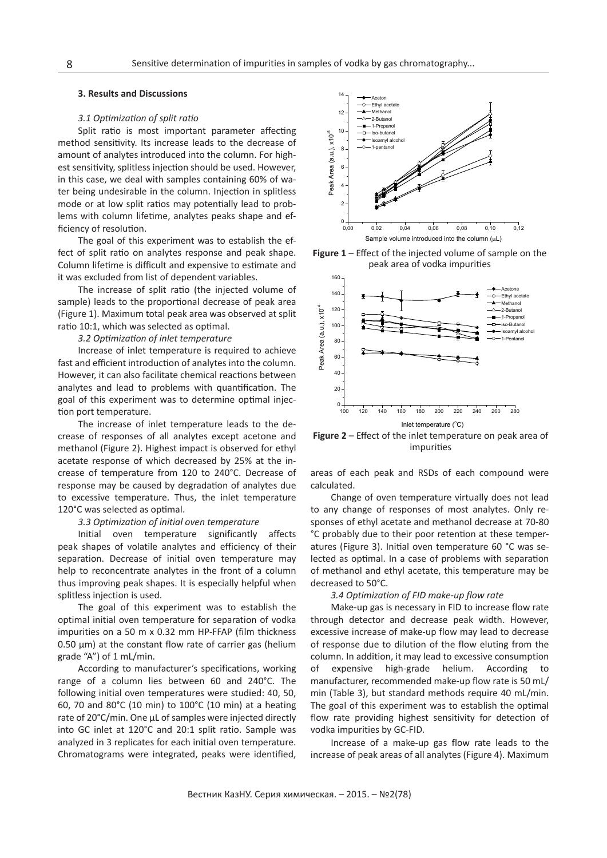#### **3. Results and Discussions**

#### *3.1 Optimization of split ratio*

Split ratio is most important parameter affecting method sensitivity. Its increase leads to the decrease of amount of analytes introduced into the column. For highest sensitivity, splitless injection should be used. However, in this case, we deal with samples containing 60% of water being undesirable in the column. Injection in splitless mode or at low split ratios may potentially lead to problems with column lifetime, analytes peaks shape and efficiency of resolution.

The goal of this experiment was to establish the effect of split ratio on analytes response and peak shape. Column lifetime is difficult and expensive to estimate and it was excluded from list of dependent variables.

The increase of split ratio (the injected volume of sample) leads to the proportional decrease of peak area (Figure 1). Maximum total peak area was observed at split ratio 10:1, which was selected as optimal.

*3.2 Optimization of inlet temperature*

Increase of inlet temperature is required to achieve fast and efficient introduction of analytes into the column. However, it can also facilitate chemical reactions between analytes and lead to problems with quantification. The goal of this experiment was to determine optimal injection port temperature.

The increase of inlet temperature leads to the decrease of responses of all analytes except acetone and methanol (Figure 2). Highest impact is observed for ethyl acetate response of which decreased by 25% at the increase of temperature from 120 to 240°C. Decrease of response may be caused by degradation of analytes due to excessive temperature. Thus, the inlet temperature 120°C was selected as optimal.

#### *3.3 Optimization of initial oven temperature*

Initial oven temperature significantly affects peak shapes of volatile analytes and efficiency of their separation. Decrease of initial oven temperature may help to reconcentrate analytes in the front of a column thus improving peak shapes. It is especially helpful when splitless injection is used.

The goal of this experiment was to establish the optimal initial oven temperature for separation of vodka impurities on a 50 m x 0.32 mm HP-FFAP (film thickness  $0.50 \mu m$ ) at the constant flow rate of carrier gas (helium grade "A") of 1 mL/min.

According to manufacturer's specifications, working range of a column lies between 60 and 240°C. The following initial oven temperatures were studied: 40, 50, 60, 70 and 80°C (10 min) to 100°C (10 min) at a heating rate of 20°C/min. One µL of samples were injected directly into GC inlet at 120°C and 20:1 split ratio. Sample was analyzed in 3 replicates for each initial oven temperature. Chromatograms were integrated, peaks were identified,



**Figure 1** – Effect of the injected volume of sample on the peak area of vodka impurities



**Figure 2** – Effect of the inlet temperature on peak area of impurities

areas of each peak and RSDs of each compound were calculated.

Change of oven temperature virtually does not lead to any change of responses of most analytes. Only responses of ethyl acetate and methanol decrease at 70-80 °C probably due to their poor retention at these temperatures (Figure 3). Initial oven temperature 60 °C was selected as optimal. In a case of problems with separation of methanol and ethyl acetate, this temperature may be decreased to 50°C.

#### *3.4 Optimization of FID make-up flow rate*

Make-up gas is necessary in FID to increase flow rate through detector and decrease peak width. However, excessive increase of make-up flow may lead to decrease of response due to dilution of the flow eluting from the column. In addition, it may lead to excessive consumption of expensive high-grade helium. According to manufacturer, recommended make-up flow rate is 50 mL/ min (Table 3), but standard methods require 40 mL/min. The goal of this experiment was to establish the optimal flow rate providing highest sensitivity for detection of vodka impurities by GC-FID.

Increase of a make-up gas flow rate leads to the increase of peak areas of all analytes (Figure 4). Maximum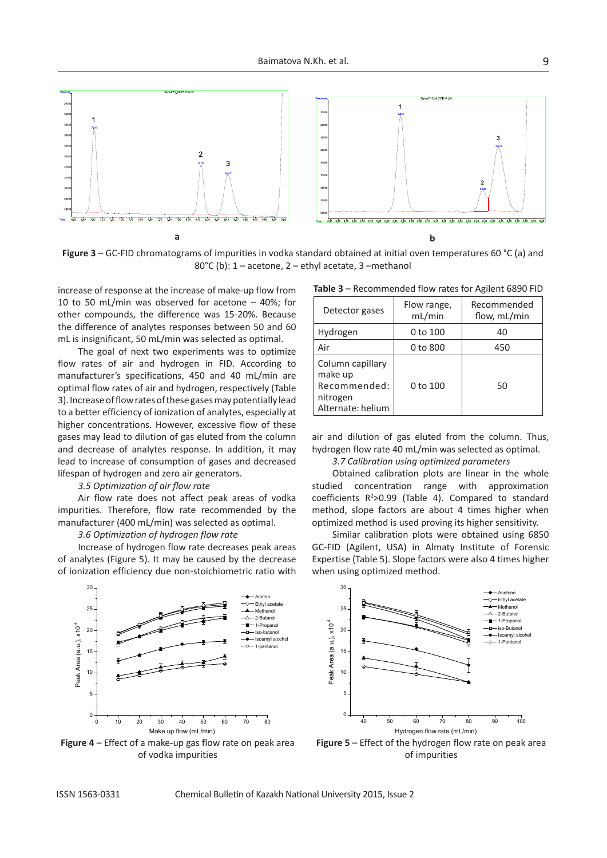

**Figure 3** – GC-FID chromatograms of impurities in vodka standard obtained at initial oven temperatures 60 °C (a) and 80°C (b): 1 – acetone, 2 – ethyl acetate, 3 –methanol

increase of response at the increase of make-up flow from 10 to 50 mL/min was observed for acetone – 40%; for other compounds, the difference was 15-20%. Because the difference of analytes responses between 50 and 60 mL is insignificant, 50 mL/min was selected as optimal.

The goal of next two experiments was to optimize flow rates of air and hydrogen in FID. According to manufacturer's specifications, 450 and 40 mL/min are optimal flow rates of air and hydrogen, respectively (Table 3). Increase of flow rates of these gases may potentially lead to a better efficiency of ionization of analytes, especially at higher concentrations. However, excessive flow of these gases may lead to dilution of gas eluted from the column and decrease of analytes response. In addition, it may lead to increase of consumption of gases and decreased lifespan of hydrogen and zero air generators.

#### *3.5 Optimization of air flow rate*

Air flow rate does not affect peak areas of vodka impurities. Therefore, flow rate recommended by the manufacturer (400 mL/min) was selected as optimal.

#### *3.6 Optimization of hydrogen flow rate*

Increase of hydrogen flow rate decreases peak areas of analytes (Figure 5). It may be caused by the decrease of ionization efficiency due non-stoichiometric ratio with



**Figure 4** – Effect of a make-up gas flow rate on peak area of vodka impurities

**Table 3** – Recommended flow rates for Agilent 6890 FID

| Detector gases                                                               | Flow range,<br>mL/min | Recommended<br>flow, mL/min |
|------------------------------------------------------------------------------|-----------------------|-----------------------------|
| Hydrogen                                                                     | 0 to 100              | 40                          |
| Air                                                                          | 0 to 800              | 450                         |
| Column capillary<br>make up<br>Recommended:<br>nitrogen<br>Alternate: helium | 0 to 100              | 50                          |

air and dilution of gas eluted from the column. Thus, hydrogen flow rate 40 mL/min was selected as optimal.

## *3.7 Calibration using optimized parameters*

Obtained calibration plots are linear in the whole studied concentration range with approximation coefficients  $R^2 > 0.99$  (Table 4). Compared to standard method, slope factors are about 4 times higher when optimized method is used proving its higher sensitivity.

Similar calibration plots were obtained using 6850 GC-FID (Agilent, USA) in Almaty Institute of Forensic Expertise (Table 5). Slope factors were also 4 times higher when using optimized method.



**Figure 5** – Effect of the hydrogen flow rate on peak area of impurities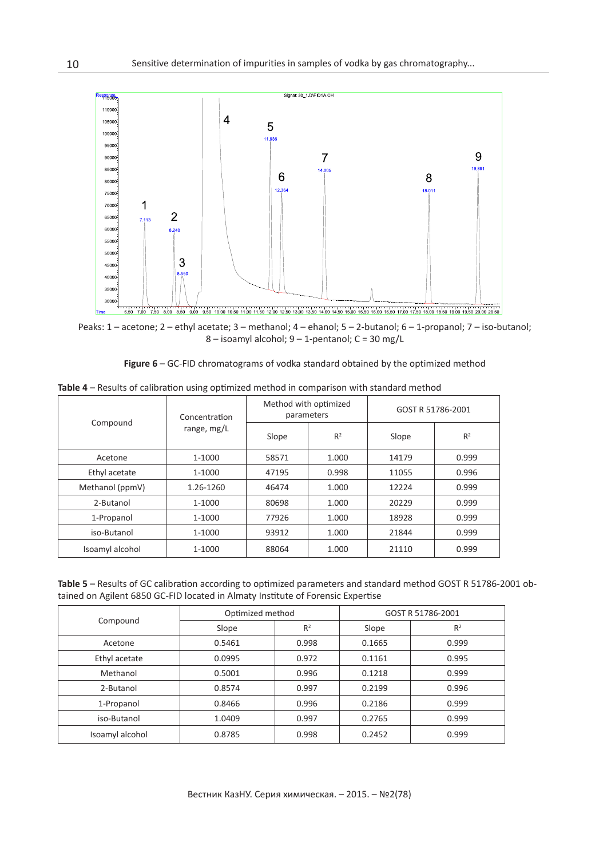

Peaks: 1 – acetone; 2 – ethyl acetate; 3 – methanol; 4 – ehanol; 5 – 2-butanol; 6 – 1-propanol; 7 – iso-butanol; 8 – isoamyl alcohol; 9 – 1-pentanol; C = 30 mg/L

|  | Figure 6 - GC-FID chromatograms of vodka standard obtained by the optimized method |  |  |  |  |
|--|------------------------------------------------------------------------------------|--|--|--|--|
|--|------------------------------------------------------------------------------------|--|--|--|--|

|                 | Concentration<br>range, mg/L | Method with optimized<br>parameters |                | GOST R 51786-2001 |                |
|-----------------|------------------------------|-------------------------------------|----------------|-------------------|----------------|
| Compound        |                              | Slope                               | R <sup>2</sup> | Slope             | R <sup>2</sup> |
| Acetone         | 1-1000                       | 58571                               | 1.000          | 14179             | 0.999          |
| Ethyl acetate   | 1-1000                       | 47195                               | 0.998          | 11055             | 0.996          |
| Methanol (ppmV) | 1.26-1260                    | 46474                               | 1.000          | 12224             | 0.999          |
| 2-Butanol       | 1-1000                       | 80698                               | 1.000          | 20229             | 0.999          |
| 1-Propanol      | 1-1000                       | 77926                               | 1.000          | 18928             | 0.999          |
| iso-Butanol     | 1-1000                       | 93912                               | 1.000          | 21844             | 0.999          |
| Isoamyl alcohol | 1-1000                       | 88064                               | 1.000          | 21110             | 0.999          |

**Table 4** – Results of calibration using optimized method in comparison with standard method

**Table 5** – Results of GC calibration according to optimized parameters and standard method GOST R 51786-2001 obtained on Agilent 6850 GC-FID located in Almaty Institute of Forensic Expertise

|                 | Optimized method |                | GOST R 51786-2001 |                |  |
|-----------------|------------------|----------------|-------------------|----------------|--|
| Compound        | Slope            | R <sup>2</sup> | Slope             | R <sup>2</sup> |  |
| Acetone         | 0.5461           | 0.998          | 0.1665            | 0.999          |  |
| Ethyl acetate   | 0.0995           | 0.972          | 0.1161            | 0.995          |  |
| Methanol        | 0.5001           | 0.996          | 0.1218            | 0.999          |  |
| 2-Butanol       | 0.8574           | 0.997          | 0.2199            | 0.996          |  |
| 1-Propanol      | 0.8466           | 0.996          | 0.2186            | 0.999          |  |
| iso-Butanol     | 1.0409           | 0.997          | 0.2765            | 0.999          |  |
| Isoamyl alcohol | 0.8785           | 0.998          | 0.2452            | 0.999          |  |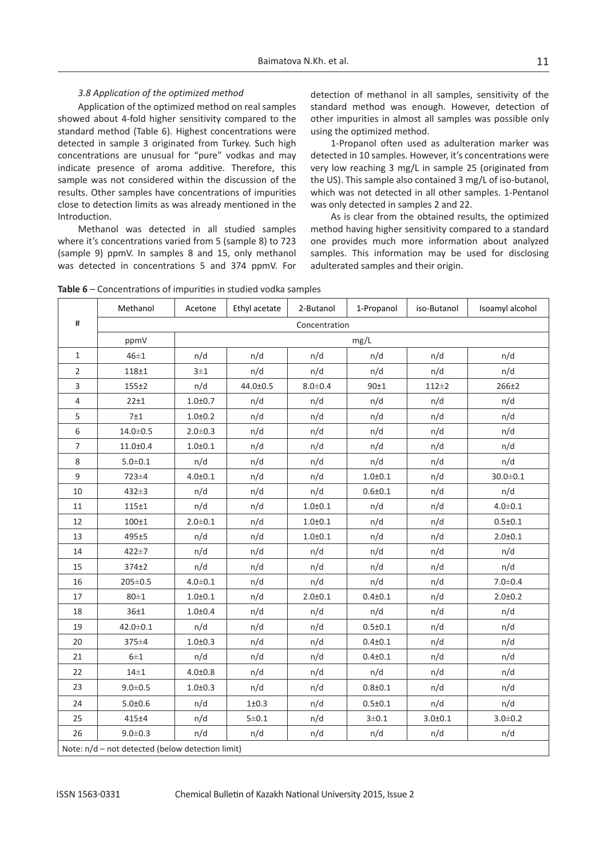#### *3.8 Application of the optimized method*

Application of the optimized method on real samples showed about 4-fold higher sensitivity compared to the standard method (Table 6). Highest concentrations were detected in sample 3 originated from Turkey. Such high concentrations are unusual for "pure" vodkas and may indicate presence of aroma additive. Therefore, this sample was not considered within the discussion of the results. Other samples have concentrations of impurities close to detection limits as was already mentioned in the Introduction.

Methanol was detected in all studied samples where it's concentrations varied from 5 (sample 8) to 723 (sample 9) ppmV. In samples 8 and 15, only methanol was detected in concentrations 5 and 374 ppmV. For detection of methanol in all samples, sensitivity of the standard method was enough. However, detection of other impurities in almost all samples was possible only using the optimized method.

1-Propanol often used as adulteration marker was detected in 10 samples. However, it's concentrations were very low reaching 3 mg/L in sample 25 (originated from the US). This sample also contained 3 mg/L of iso-butanol, which was not detected in all other samples. 1-Pentanol was only detected in samples 2 and 22.

As is clear from the obtained results, the optimized method having higher sensitivity compared to a standard one provides much more information about analyzed samples. This information may be used for disclosing adulterated samples and their origin.

**Table 6** – Concentrations of impurities in studied vodka samples

|                                                  | Methanol       | Acetone       | Ethyl acetate | 2-Butanol   | 1-Propanol  | iso-Butanol | Isoamyl alcohol |  |
|--------------------------------------------------|----------------|---------------|---------------|-------------|-------------|-------------|-----------------|--|
| $\#$                                             | Concentration  |               |               |             |             |             |                 |  |
|                                                  | ppmV           | mg/L          |               |             |             |             |                 |  |
| $\mathbf{1}$                                     | $46\pm1$       | n/d           | n/d           | n/d         | n/d         | n/d         | n/d             |  |
| $\overline{2}$                                   | 118±1          | $3\pm1$       | n/d           | n/d         | n/d         | n/d         | n/d             |  |
| 3                                                | $155 + 2$      | n/d           | 44.0±0.5      | $8.0 + 0.4$ | 90±1        | $112 \pm 2$ | $266 + 2$       |  |
| $\overline{4}$                                   | $22 + 1$       | $1.0 + 0.7$   | n/d           | n/d         | n/d         | n/d         | n/d             |  |
| 5                                                | 7±1            | $1.0 + 0.2$   | n/d           | n/d         | n/d         | n/d         | n/d             |  |
| 6                                                | $14.0 \pm 0.5$ | $2.0 \pm 0.3$ | n/d           | n/d         | n/d         | n/d         | n/d             |  |
| $\overline{7}$                                   | 11.0±0.4       | $1.0 + 0.1$   | n/d           | n/d         | n/d         | n/d         | n/d             |  |
| 8                                                | $5.0 + 0.1$    | n/d           | n/d           | n/d         | n/d         | n/d         | n/d             |  |
| 9                                                | 723±4          | $4.0 + 0.1$   | n/d           | n/d         | $1.0 + 0.1$ | n/d         | $30.0 + 0.1$    |  |
| 10                                               | 432±3          | n/d           | n/d           | n/d         | $0.6 + 0.1$ | n/d         | n/d             |  |
| 11                                               | 115±1          | n/d           | n/d           | $1.0 + 0.1$ | n/d         | n/d         | $4.0 + 0.1$     |  |
| 12                                               | 100±1          | $2.0 \pm 0.1$ | n/d           | $1.0 + 0.1$ | n/d         | n/d         | 0.5 ± 0.1       |  |
| 13                                               | 495±5          | n/d           | n/d           | $1.0 + 0.1$ | n/d         | n/d         | $2.0 + 0.1$     |  |
| 14                                               | 422±7          | n/d           | n/d           | n/d         | n/d         | n/d         | n/d             |  |
| 15                                               | 374±2          | n/d           | n/d           | n/d         | n/d         | n/d         | n/d             |  |
| 16                                               | 205±0.5        | $4.0 \pm 0.1$ | n/d           | n/d         | n/d         | n/d         | $7.0 + 0.4$     |  |
| 17                                               | $80 \pm 1$     | $1.0 + 0.1$   | n/d           | $2.0 + 0.1$ | $0.4 + 0.1$ | n/d         | 2.0 ± 0.2       |  |
| 18                                               | 36±1           | $1.0 + 0.4$   | n/d           | n/d         | n/d         | n/d         | n/d             |  |
| 19                                               | 42.0±0.1       | n/d           | n/d           | n/d         | 0.5 ± 0.1   | n/d         | n/d             |  |
| 20                                               | 375±4          | $1.0 \pm 0.3$ | n/d           | n/d         | $0.4 + 0.1$ | n/d         | n/d             |  |
| 21                                               | $6\pm1$        | n/d           | n/d           | n/d         | $0.4 + 0.1$ | n/d         | n/d             |  |
| 22                                               | $14\pm1$       | 4.0 ± 0.8     | n/d           | n/d         | n/d         | n/d         | n/d             |  |
| 23                                               | $9.0 \pm 0.5$  | $1.0 \pm 0.3$ | n/d           | n/d         | $0.8 + 0.1$ | n/d         | n/d             |  |
| 24                                               | 5.0 ± 0.6      | n/d           | $1\pm0.3$     | n/d         | 0.5 ± 0.1   | n/d         | n/d             |  |
| 25                                               | 415±4          | n/d           | $5 \pm 0.1$   | n/d         | $3 \pm 0.1$ | 3.0 ± 0.1   | $3.0 + 0.2$     |  |
| 26                                               | $9.0 \pm 0.3$  | n/d           | n/d           | n/d         | n/d         | n/d         | n/d             |  |
| Note: n/d - not detected (below detection limit) |                |               |               |             |             |             |                 |  |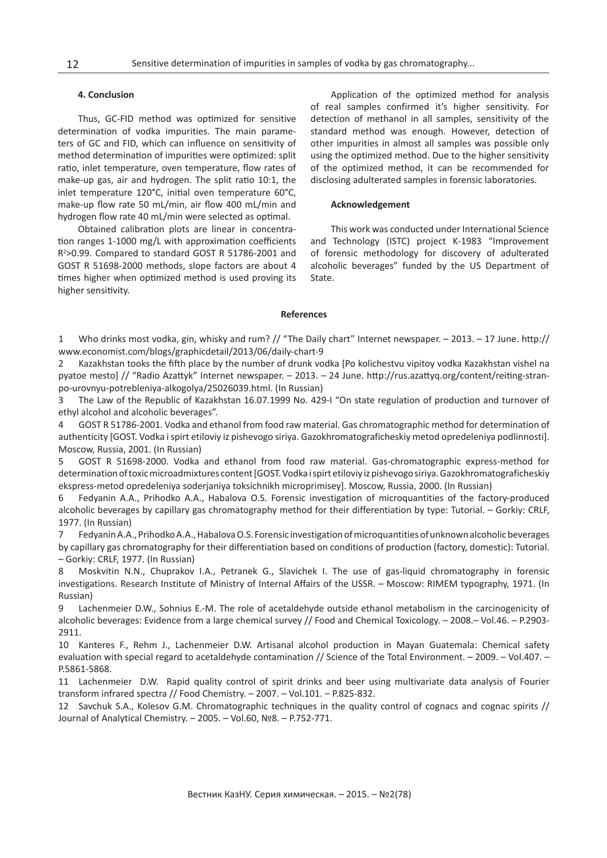#### **4. Conclusion**

Thus, GC-FID method was optimized for sensitive determination of vodka impurities. The main parameters of GC and FID, which can influence on sensitivity of method determination of impurities were optimized: split ratio, inlet temperature, oven temperature, flow rates of make-up gas, air and hydrogen. The split ratio 10:1, the inlet temperature 120°C, initial oven temperature 60°C, make-up flow rate 50 mL/min, air flow 400 mL/min and hydrogen flow rate 40 mL/min were selected as optimal.

Obtained calibration plots are linear in concentration ranges 1-1000 mg/L with approximation coefficients R2 >0.99. Compared to standard GOST R 51786-2001 and GOST R 51698-2000 methods, slope factors are about 4 times higher when optimized method is used proving its higher sensitivity.

Application of the optimized method for analysis of real samples confirmed it's higher sensitivity. For detection of methanol in all samples, sensitivity of the standard method was enough. However, detection of other impurities in almost all samples was possible only using the optimized method. Due to the higher sensitivity of the optimized method, it can be recommended for disclosing adulterated samples in forensic laboratories.

#### **Acknowledgement**

This work was conducted under International Science and Technology (ISTC) project K-1983 "Improvement of forensic methodology for discovery of adulterated alcoholic beverages" funded by the US Department of State.

#### **References**

1 Who drinks most vodka, gin, whisky and rum? // "The Daily chart" Internet newspaper. – 2013. – 17 June. [http://](http://www.economist.com/blogs/graphicdetail/2013/06/daily-chart-9) [www.economist.com/blogs/graphicdetail/2013/06/daily-chart-9](http://www.economist.com/blogs/graphicdetail/2013/06/daily-chart-9)

2 Kazakhstan tooks the fifth place by the number of drunk vodka [Po kolichestvu vipitoy vodka Kazakhstan vishel na pyatoe mesto] // "Radio Azattyk" Internet newspaper. – 2013. – 24 June. [http://rus.azattyq.org/content/reiting](http://rus.azattyq.org/content/reiting-stran-po-urovnyu-potrebleniya-alkogolya/25026039.html)-stranpo-urovnyu-potrebleniya-[alkogolya/25026039.html](http://rus.azattyq.org/content/reiting-stran-po-urovnyu-potrebleniya-alkogolya/25026039.html). (In Russian)

3 The Law of the Republic of Kazakhstan 16.07.1999 No. 429-I "On state regulation of production and turnover of ethyl alcohol and alcoholic beverages".

4 GOST R 51786-2001. Vodka and ethanol from food raw material. Gas chromatographic method for determination of authenticity [GOST. Vodka i spirt etiloviy iz pishevogo siriya. Gazokhromatograficheskiy metod opredeleniya podlinnosti]. Moscow, Russia, 2001. (In Russian)

5 GOST R 51698-2000. Vodka and ethanol from food raw material. Gas-chromatographic express-method for determination of toxic microadmixtures content [GOST. Vodka i spirt etiloviy iz pishevogo siriya. Gazokhromatograficheskiy ekspress-metod opredeleniya soderjaniya toksichnikh microprimisey]. Moscow, Russia, 2000. (In Russian)

6 Fedyanin A.A., Prihodko A.A., Habalova O.S. Forensic investigation of microquantities of the factory-produced alcoholic beverages by capillary gas chromatography method for their differentiation by type: Tutorial. – Gorkiy: CRLF, 1977. (In Russian)

7 Fedyanin A.A., Prihodko A.A., Habalova O.S. Forensic investigation of microquantities of unknown alcoholic beverages by capillary gas chromatography for their differentiation based on conditions of production (factory, domestic): Tutorial. – Gorkiy: CRLF, 1977. (In Russian)

8 Moskvitin N.N., Chuprakov I.A., Petranek G., Slavichek I. The use of gas-liquid chromatography in forensic investigations. Research Institute of Ministry of Internal Affairs of the USSR. – Moscow: RIMEM typography, 1971. (In Russian)

9 Lachenmeier D.W., Sohnius E.-M. The role of acetaldehyde outside ethanol metabolism in the carcinogenicity of alcoholic beverages: Evidence from a large chemical survey // Food and Chemical Toxicology. – 2008.– Vol.46. – P.2903- 2911.

10 Kanteres F., Rehm J., Lachenmeier D.W. Artisanal alcohol production in Mayan Guatemala: Chemical safety evaluation with special regard to acetaldehyde contamination // Science of the Total Environment. – 2009. – Vol.407. – P.5861-5868.

11 Lachenmeier D.W. Rapid quality control of spirit drinks and beer using multivariate data analysis of Fourier transform infrared spectra // Food Chemistry. – 2007. – Vol.101. – P.825-832.

12 Savchuk S.A., Kolesov G.M. Chromatographic techniques in the quality control of cognacs and cognac spirits // Journal of Analytical Chemistry. – 2005. – Vol.60, №8. – P.752-771.